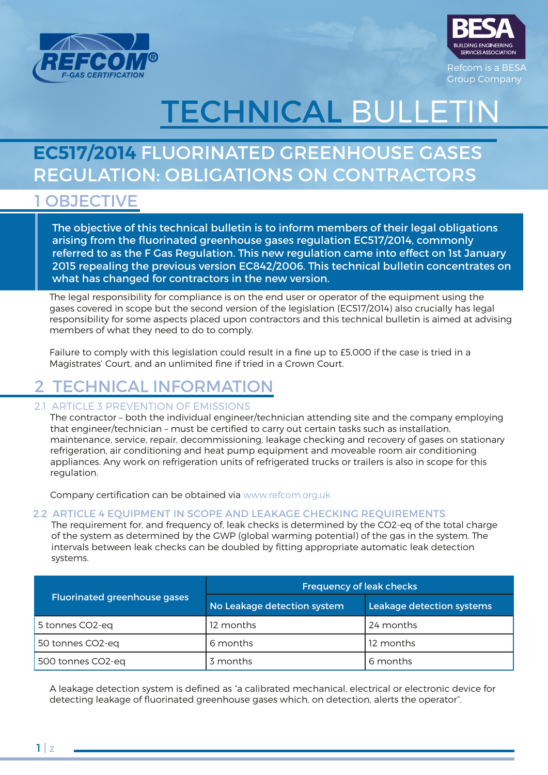



Refcom is a BESA Group Company

# **TECHNICAL BULLET**

## **EC517/2014** FLUORINATED GREENHOUSE GASES REGULATION: OBLIGATIONS ON CONTRACTORS

### 1 OBJECTIVE

The objective of this technical bulletin is to inform members of their legal obligations arising from the fluorinated greenhouse gases regulation EC517/2014, commonly referred to as the F Gas Regulation. This new regulation came into effect on 1st January 2015 repealing the previous version EC842/2006. This technical bulletin concentrates on what has changed for contractors in the new version.

The legal responsibility for compliance is on the end user or operator of the equipment using the gases covered in scope but the second version of the legislation (EC517/2014) also crucially has legal responsibility for some aspects placed upon contractors and this technical bulletin is aimed at advising members of what they need to do to comply.

Failure to comply with this legislation could result in a fine up to £5,000 if the case is tried in a Magistrates' Court, and an unlimited fine if tried in a Crown Court.

## TECHNICAL INFORMATION

#### 2.1 ARTICLE 3 PREVENTION OF EMISSIONS

The contractor – both the individual engineer/technician attending site and the company employing that engineer/technician – must be certified to carry out certain tasks such as installation, maintenance, service, repair, decommissioning, leakage checking and recovery of gases on stationary refrigeration, air conditioning and heat pump equipment and moveable room air conditioning appliances. Any work on refrigeration units of refrigerated trucks or trailers is also in scope for this regulation.

Company certification can be obtained via www.refcom.org.uk

#### 2.2 ARTICLE 4 EOUIPMENT IN SCOPE AND LEAKAGE CHECKING REOUIREMENTS

The requirement for, and frequency of, leak checks is determined by the CO2-eq of the total charge of the system as determined by the GWP (global warming potential) of the gas in the system. The intervals between leak checks can be doubled by fitting appropriate automatic leak detection systems.

|                                     | <b>Frequency of leak checks</b> |                           |  |
|-------------------------------------|---------------------------------|---------------------------|--|
| <b>Fluorinated greenhouse gases</b> | No Leakage detection system     | Leakage detection systems |  |
| 5 tonnes CO2-eq                     | 12 months                       | 24 months                 |  |
| 50 tonnes CO2-eq                    | 6 months                        | 12 months                 |  |
| 500 tonnes CO2-eq                   | 3 months                        | 6 months                  |  |

A leakage detection system is defined as "a calibrated mechanical, electrical or electronic device for detecting leakage of fluorinated greenhouse gases which, on detection, alerts the operator".